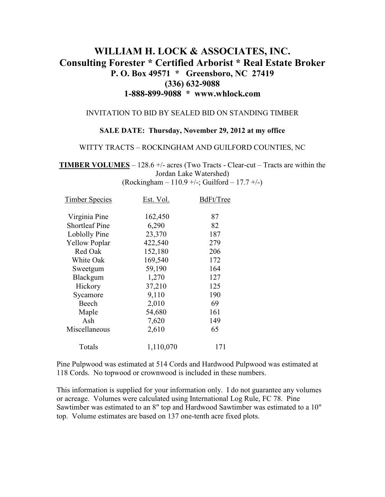# **WILLIAM H. LOCK & ASSOCIATES, INC. Consulting Forester \* Certified Arborist \* Real Estate Broker P. O. Box 49571 \* Greensboro, NC 27419 (336) 632-9088 1-888-899-9088 \* www.whlock.com**

#### INVITATION TO BID BY SEALED BID ON STANDING TIMBER

#### **SALE DATE: Thursday, November 29, 2012 at my office**

#### WITTY TRACTS – ROCKINGHAM AND GUILFORD COUNTIES, NC

**TIMBER VOLUMES** – 128.6 +/- acres (Two Tracts - Clear-cut – Tracts are within the Jordan Lake Watershed)  $(Rockingham - 110.9 +/-; Guillford - 17.7 +/-)$ 

| Est. Vol. | BdFt/Tree |
|-----------|-----------|
| 162,450   | 87        |
| 6,290     | 82        |
| 23,370    | 187       |
| 422,540   | 279       |
| 152,180   | 206       |
| 169,540   | 172       |
| 59,190    | 164       |
| 1,270     | 127       |
| 37,210    | 125       |
| 9,110     | 190       |
| 2,010     | 69        |
| 54,680    | 161       |
| 7,620     | 149       |
| 2,610     | 65        |
| 1,110,070 | 171       |
|           |           |

Pine Pulpwood was estimated at 514 Cords and Hardwood Pulpwood was estimated at 118 Cords. No topwood or crownwood is included in these numbers.

This information is supplied for your information only. I do not guarantee any volumes or acreage. Volumes were calculated using International Log Rule, FC 78. Pine Sawtimber was estimated to an 8" top and Hardwood Sawtimber was estimated to a 10" top. Volume estimates are based on 137 one-tenth acre fixed plots.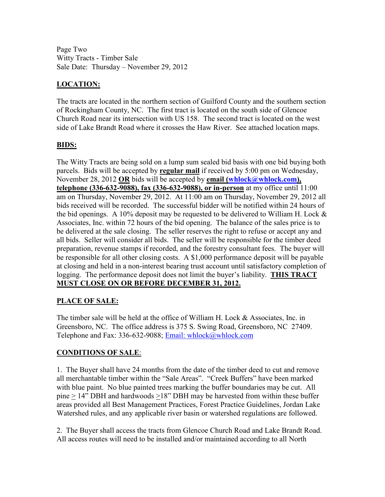Page Two Witty Tracts - Timber Sale Sale Date: Thursday – November 29, 2012

## **LOCATION:**

The tracts are located in the northern section of Guilford County and the southern section of Rockingham County, NC. The first tract is located on the south side of Glencoe Church Road near its intersection with US 158. The second tract is located on the west side of Lake Brandt Road where it crosses the Haw River. See attached location maps.

### **BIDS:**

The Witty Tracts are being sold on a lump sum sealed bid basis with one bid buying both parcels. Bids will be accepted by **regular mail** if received by 5:00 pm on Wednesday, November 28, 2012 **OR** bids will be accepted by **email** (whlock@whlock.com), **telephone (336-632-9088), fax (336-632-9088), or in-person** at my office until 11:00 am on Thursday, November 29, 2012. At 11:00 am on Thursday, November 29, 2012 all bids received will be recorded. The successful bidder will be notified within 24 hours of the bid openings. A 10% deposit may be requested to be delivered to William H. Lock  $\&$ Associates, Inc. within 72 hours of the bid opening. The balance of the sales price is to be delivered at the sale closing. The seller reserves the right to refuse or accept any and all bids. Seller will consider all bids. The seller will be responsible for the timber deed preparation, revenue stamps if recorded, and the forestry consultant fees. The buyer will be responsible for all other closing costs. A \$1,000 performance deposit will be payable at closing and held in a non-interest bearing trust account until satisfactory completion of logging. The performance deposit does not limit the buyer's liability. **THIS TRACT MUST CLOSE ON OR BEFORE DECEMBER 31, 2012.**

### **PLACE OF SALE:**

The timber sale will be held at the office of William H. Lock & Associates, Inc. in Greensboro, NC. The office address is 375 S. Swing Road, Greensboro, NC 27409. Telephone and Fax: 336-632-9088; Email: whlock@whlock.com

### **CONDITIONS OF SALE**:

1. The Buyer shall have 24 months from the date of the timber deed to cut and remove all merchantable timber within the "Sale Areas". "Creek Buffers" have been marked with blue paint. No blue painted trees marking the buffer boundaries may be cut. All pine > 14" DBH and hardwoods >18" DBH may be harvested from within these buffer areas provided all Best Management Practices, Forest Practice Guidelines, Jordan Lake Watershed rules, and any applicable river basin or watershed regulations are followed.

2. The Buyer shall access the tracts from Glencoe Church Road and Lake Brandt Road. All access routes will need to be installed and/or maintained according to all North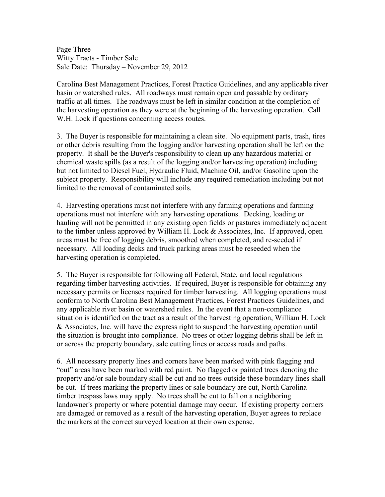Page Three Witty Tracts - Timber Sale Sale Date: Thursday – November 29, 2012

Carolina Best Management Practices, Forest Practice Guidelines, and any applicable river basin or watershed rules. All roadways must remain open and passable by ordinary traffic at all times. The roadways must be left in similar condition at the completion of the harvesting operation as they were at the beginning of the harvesting operation. Call W.H. Lock if questions concerning access routes.

3. The Buyer is responsible for maintaining a clean site. No equipment parts, trash, tires or other debris resulting from the logging and/or harvesting operation shall be left on the property. It shall be the Buyer's responsibility to clean up any hazardous material or chemical waste spills (as a result of the logging and/or harvesting operation) including but not limited to Diesel Fuel, Hydraulic Fluid, Machine Oil, and/or Gasoline upon the subject property. Responsibility will include any required remediation including but not limited to the removal of contaminated soils.

4. Harvesting operations must not interfere with any farming operations and farming operations must not interfere with any harvesting operations. Decking, loading or hauling will not be permitted in any existing open fields or pastures immediately adjacent to the timber unless approved by William H. Lock & Associates, Inc. If approved, open areas must be free of logging debris, smoothed when completed, and re-seeded if necessary. All loading decks and truck parking areas must be reseeded when the harvesting operation is completed.

5. The Buyer is responsible for following all Federal, State, and local regulations regarding timber harvesting activities. If required, Buyer is responsible for obtaining any necessary permits or licenses required for timber harvesting. All logging operations must conform to North Carolina Best Management Practices, Forest Practices Guidelines, and any applicable river basin or watershed rules. In the event that a non-compliance situation is identified on the tract as a result of the harvesting operation, William H. Lock & Associates, Inc. will have the express right to suspend the harvesting operation until the situation is brought into compliance. No trees or other logging debris shall be left in or across the property boundary, sale cutting lines or access roads and paths.

6. All necessary property lines and corners have been marked with pink flagging and "out" areas have been marked with red paint. No flagged or painted trees denoting the property and/or sale boundary shall be cut and no trees outside these boundary lines shall be cut. If trees marking the property lines or sale boundary are cut, North Carolina timber trespass laws may apply. No trees shall be cut to fall on a neighboring landowner's property or where potential damage may occur. If existing property corners are damaged or removed as a result of the harvesting operation, Buyer agrees to replace the markers at the correct surveyed location at their own expense.